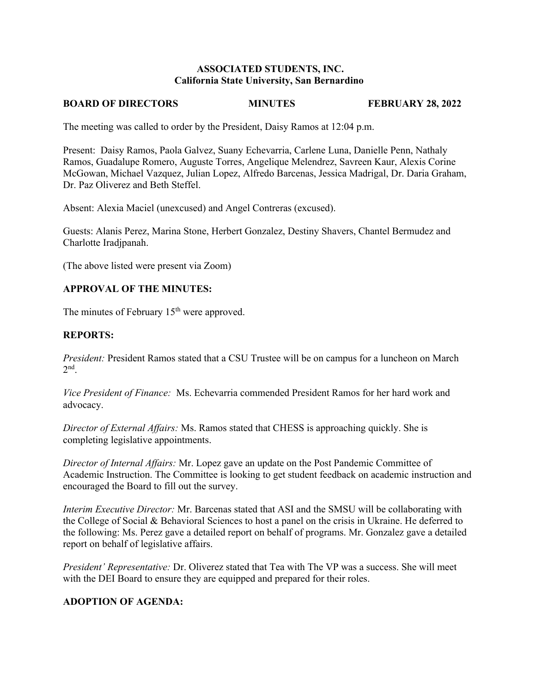#### **ASSOCIATED STUDENTS, INC. California State University, San Bernardino**

#### **BOARD OF DIRECTORS MINUTES FEBRUARY 28, 2022**

The meeting was called to order by the President, Daisy Ramos at 12:04 p.m.

Present: Daisy Ramos, Paola Galvez, Suany Echevarria, Carlene Luna, Danielle Penn, Nathaly Ramos, Guadalupe Romero, Auguste Torres, Angelique Melendrez, Savreen Kaur, Alexis Corine McGowan, Michael Vazquez, Julian Lopez, Alfredo Barcenas, Jessica Madrigal, Dr. Daria Graham, Dr. Paz Oliverez and Beth Steffel.

Absent: Alexia Maciel (unexcused) and Angel Contreras (excused).

Guests: Alanis Perez, Marina Stone, Herbert Gonzalez, Destiny Shavers, Chantel Bermudez and Charlotte Iradjpanah.

(The above listed were present via Zoom)

### **APPROVAL OF THE MINUTES:**

The minutes of February 15<sup>th</sup> were approved.

#### **REPORTS:**

*President:* President Ramos stated that a CSU Trustee will be on campus for a luncheon on March  $2<sup>nd</sup>$ .

*Vice President of Finance:* Ms. Echevarria commended President Ramos for her hard work and advocacy.

*Director of External Affairs:* Ms. Ramos stated that CHESS is approaching quickly. She is completing legislative appointments.

*Director of Internal Affairs:* Mr. Lopez gave an update on the Post Pandemic Committee of Academic Instruction. The Committee is looking to get student feedback on academic instruction and encouraged the Board to fill out the survey.

*Interim Executive Director:* Mr. Barcenas stated that ASI and the SMSU will be collaborating with the College of Social & Behavioral Sciences to host a panel on the crisis in Ukraine. He deferred to the following: Ms. Perez gave a detailed report on behalf of programs. Mr. Gonzalez gave a detailed report on behalf of legislative affairs.

*President' Representative:* Dr. Oliverez stated that Tea with The VP was a success. She will meet with the DEI Board to ensure they are equipped and prepared for their roles.

# **ADOPTION OF AGENDA:**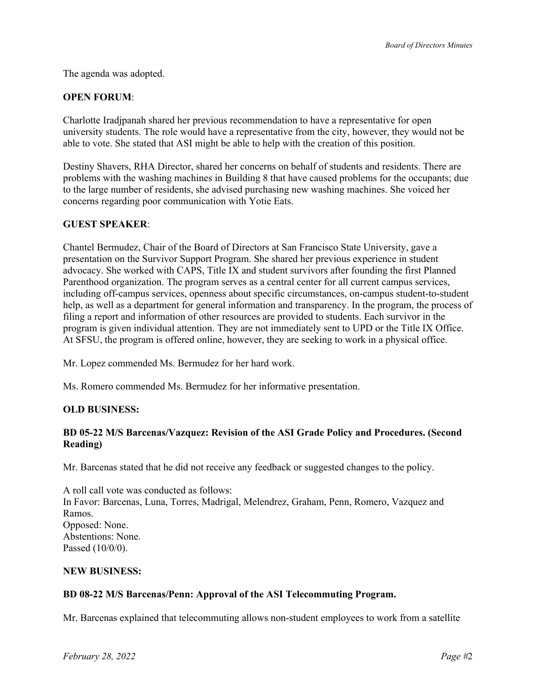The agenda was adopted.

## **OPEN FORUM**:

Charlotte Iradjpanah shared her previous recommendation to have a representative for open university students. The role would have a representative from the city, however, they would not be able to vote. She stated that ASI might be able to help with the creation of this position.

Destiny Shavers, RHA Director, shared her concerns on behalf of students and residents. There are problems with the washing machines in Building 8 that have caused problems for the occupants; due to the large number of residents, she advised purchasing new washing machines. She voiced her concerns regarding poor communication with Yotie Eats.

### **GUEST SPEAKER**:

Chantel Bermudez, Chair of the Board of Directors at San Francisco State University, gave a presentation on the Survivor Support Program. She shared her previous experience in student advocacy. She worked with CAPS, Title IX and student survivors after founding the first Planned Parenthood organization. The program serves as a central center for all current campus services, including off-campus services, openness about specific circumstances, on-campus student-to-student help, as well as a department for general information and transparency. In the program, the process of filing a report and information of other resources are provided to students. Each survivor in the program is given individual attention. They are not immediately sent to UPD or the Title IX Office. At SFSU, the program is offered online, however, they are seeking to work in a physical office.

Mr. Lopez commended Ms. Bermudez for her hard work.

Ms. Romero commended Ms. Bermudez for her informative presentation.

### **OLD BUSINESS:**

### **BD 05-22 M/S Barcenas/Vazquez: Revision of the ASI Grade Policy and Procedures. (Second Reading)**

Mr. Barcenas stated that he did not receive any feedback or suggested changes to the policy.

A roll call vote was conducted as follows: In Favor: Barcenas, Luna, Torres, Madrigal, Melendrez, Graham, Penn, Romero, Vazquez and Ramos. Opposed: None. Abstentions: None. Passed (10/0/0).

### **NEW BUSINESS:**

### **BD 08-22 M/S Barcenas/Penn: Approval of the ASI Telecommuting Program.**

Mr. Barcenas explained that telecommuting allows non-student employees to work from a satellite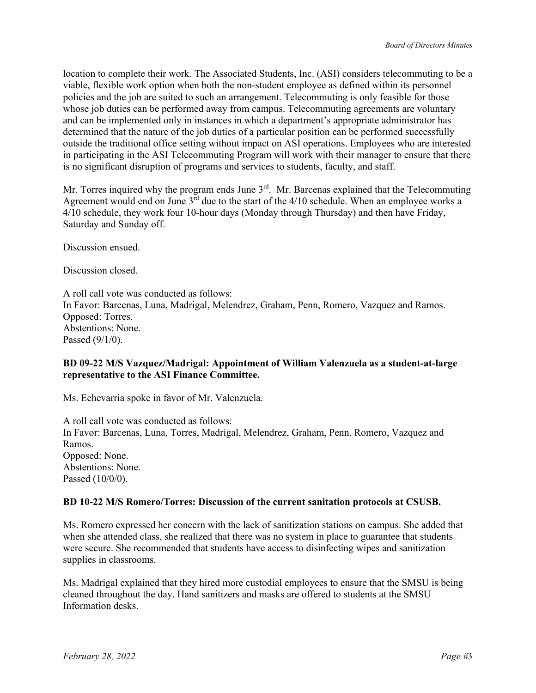location to complete their work. The Associated Students, Inc. (ASI) considers telecommuting to be a viable, flexible work option when both the non-student employee as defined within its personnel policies and the job are suited to such an arrangement. Telecommuting is only feasible for those whose job duties can be performed away from campus. Telecommuting agreements are voluntary and can be implemented only in instances in which a department's appropriate administrator has determined that the nature of the job duties of a particular position can be performed successfully outside the traditional office setting without impact on ASI operations. Employees who are interested in participating in the ASI Telecommuting Program will work with their manager to ensure that there is no significant disruption of programs and services to students, faculty, and staff.

Mr. Torres inquired why the program ends June  $3<sup>rd</sup>$ . Mr. Barcenas explained that the Telecommuting Agreement would end on June  $3<sup>rd</sup>$  due to the start of the 4/10 schedule. When an employee works a  $4/10$  schedule, they work four 10-hour days (Monday through Thursday) and then have Friday, Saturday and Sunday off.

Discussion ensued.

Discussion closed.

A roll call vote was conducted as follows: In Favor: Barcenas, Luna, Madrigal, Melendrez, Graham, Penn, Romero, Vazquez and Ramos. Opposed: Torres. Abstentions: None. Passed (9/1/0).

### **BD 09-22 M/S Vazquez/Madrigal: Appointment of William Valenzuela as a student-at-large representative to the ASI Finance Committee.**

Ms. Echevarria spoke in favor of Mr. Valenzuela.

A roll call vote was conducted as follows: In Favor: Barcenas, Luna, Torres, Madrigal, Melendrez, Graham, Penn, Romero, Vazquez and Ramos. Opposed: None. Abstentions: None. Passed (10/0/0).

### **BD 10-22 M/S Romero/Torres: Discussion of the current sanitation protocols at CSUSB.**

Ms. Romero expressed her concern with the lack of sanitization stations on campus. She added that when she attended class, she realized that there was no system in place to guarantee that students were secure. She recommended that students have access to disinfecting wipes and sanitization supplies in classrooms.

Ms. Madrigal explained that they hired more custodial employees to ensure that the SMSU is being cleaned throughout the day. Hand sanitizers and masks are offered to students at the SMSU Information desks.